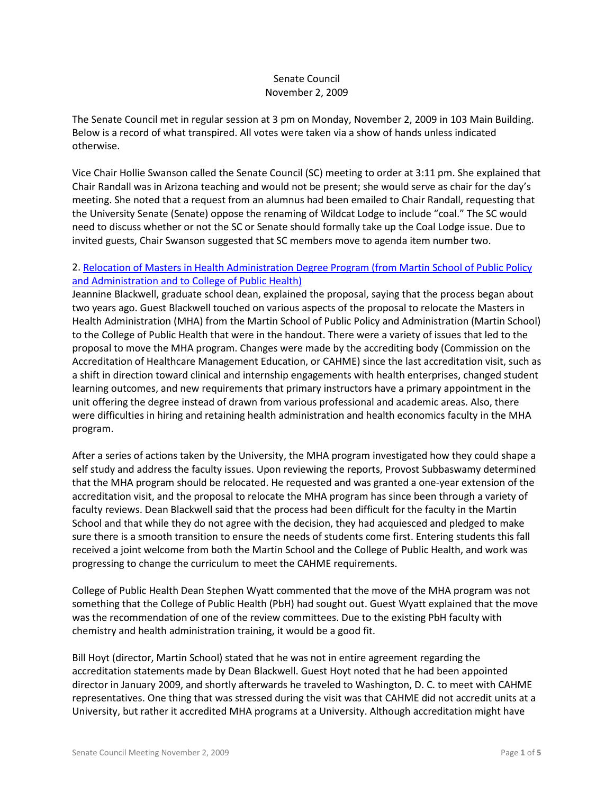## Senate Council November 2, 2009

The Senate Council met in regular session at 3 pm on Monday, November 2, 2009 in 103 Main Building. Below is a record of what transpired. All votes were taken via a show of hands unless indicated otherwise.

Vice Chair Hollie Swanson called the Senate Council (SC) meeting to order at 3:11 pm. She explained that Chair Randall was in Arizona teaching and would not be present; she would serve as chair for the day's meeting. She noted that a request from an alumnus had been emailed to Chair Randall, requesting that the University Senate (Senate) oppose the renaming of Wildcat Lodge to include "coal." The SC would need to discuss whether or not the SC or Senate should formally take up the Coal Lodge issue. Due to invited guests, Chair Swanson suggested that SC members move to agenda item number two.

# 2. [Relocation of Masters in Health Administration Degree Program \(from Martin School of Public Policy](http://www.uky.edu/Faculty/Senate/files/Meetings/20091102/MHA%20Relocation_Complete.pdf)  [and Administration and to College of Public Health\)](http://www.uky.edu/Faculty/Senate/files/Meetings/20091102/MHA%20Relocation_Complete.pdf)

Jeannine Blackwell, graduate school dean, explained the proposal, saying that the process began about two years ago. Guest Blackwell touched on various aspects of the proposal to relocate the Masters in Health Administration (MHA) from the Martin School of Public Policy and Administration (Martin School) to the College of Public Health that were in the handout. There were a variety of issues that led to the proposal to move the MHA program. Changes were made by the accrediting body (Commission on the Accreditation of Healthcare Management Education, or CAHME) since the last accreditation visit, such as a shift in direction toward clinical and internship engagements with health enterprises, changed student learning outcomes, and new requirements that primary instructors have a primary appointment in the unit offering the degree instead of drawn from various professional and academic areas. Also, there were difficulties in hiring and retaining health administration and health economics faculty in the MHA program.

After a series of actions taken by the University, the MHA program investigated how they could shape a self study and address the faculty issues. Upon reviewing the reports, Provost Subbaswamy determined that the MHA program should be relocated. He requested and was granted a one-year extension of the accreditation visit, and the proposal to relocate the MHA program has since been through a variety of faculty reviews. Dean Blackwell said that the process had been difficult for the faculty in the Martin School and that while they do not agree with the decision, they had acquiesced and pledged to make sure there is a smooth transition to ensure the needs of students come first. Entering students this fall received a joint welcome from both the Martin School and the College of Public Health, and work was progressing to change the curriculum to meet the CAHME requirements.

College of Public Health Dean Stephen Wyatt commented that the move of the MHA program was not something that the College of Public Health (PbH) had sought out. Guest Wyatt explained that the move was the recommendation of one of the review committees. Due to the existing PbH faculty with chemistry and health administration training, it would be a good fit.

Bill Hoyt (director, Martin School) stated that he was not in entire agreement regarding the accreditation statements made by Dean Blackwell. Guest Hoyt noted that he had been appointed director in January 2009, and shortly afterwards he traveled to Washington, D. C. to meet with CAHME representatives. One thing that was stressed during the visit was that CAHME did not accredit units at a University, but rather it accredited MHA programs at a University. Although accreditation might have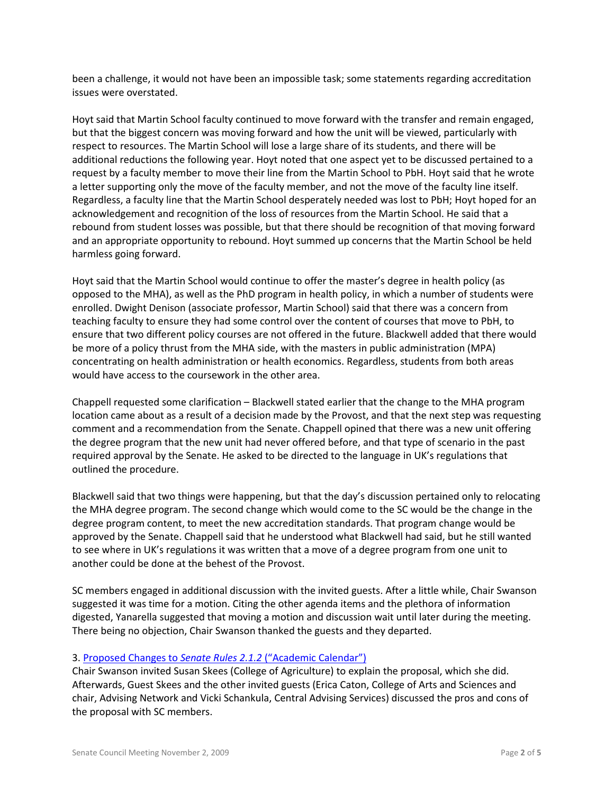been a challenge, it would not have been an impossible task; some statements regarding accreditation issues were overstated.

Hoyt said that Martin School faculty continued to move forward with the transfer and remain engaged, but that the biggest concern was moving forward and how the unit will be viewed, particularly with respect to resources. The Martin School will lose a large share of its students, and there will be additional reductions the following year. Hoyt noted that one aspect yet to be discussed pertained to a request by a faculty member to move their line from the Martin School to PbH. Hoyt said that he wrote a letter supporting only the move of the faculty member, and not the move of the faculty line itself. Regardless, a faculty line that the Martin School desperately needed was lost to PbH; Hoyt hoped for an acknowledgement and recognition of the loss of resources from the Martin School. He said that a rebound from student losses was possible, but that there should be recognition of that moving forward and an appropriate opportunity to rebound. Hoyt summed up concerns that the Martin School be held harmless going forward.

Hoyt said that the Martin School would continue to offer the master's degree in health policy (as opposed to the MHA), as well as the PhD program in health policy, in which a number of students were enrolled. Dwight Denison (associate professor, Martin School) said that there was a concern from teaching faculty to ensure they had some control over the content of courses that move to PbH, to ensure that two different policy courses are not offered in the future. Blackwell added that there would be more of a policy thrust from the MHA side, with the masters in public administration (MPA) concentrating on health administration or health economics. Regardless, students from both areas would have access to the coursework in the other area.

Chappell requested some clarification – Blackwell stated earlier that the change to the MHA program location came about as a result of a decision made by the Provost, and that the next step was requesting comment and a recommendation from the Senate. Chappell opined that there was a new unit offering the degree program that the new unit had never offered before, and that type of scenario in the past required approval by the Senate. He asked to be directed to the language in UK's regulations that outlined the procedure.

Blackwell said that two things were happening, but that the day's discussion pertained only to relocating the MHA degree program. The second change which would come to the SC would be the change in the degree program content, to meet the new accreditation standards. That program change would be approved by the Senate. Chappell said that he understood what Blackwell had said, but he still wanted to see where in UK's regulations it was written that a move of a degree program from one unit to another could be done at the behest of the Provost.

SC members engaged in additional discussion with the invited guests. After a little while, Chair Swanson suggested it was time for a motion. Citing the other agenda items and the plethora of information digested, Yanarella suggested that moving a motion and discussion wait until later during the meeting. There being no objection, Chair Swanson thanked the guests and they departed.

### 3. Proposed Changes to *Senate Rules 2.1.2* [\("Academic Calendar"\)](http://www.uky.edu/Faculty/Senate/files/Meetings/20091102/Academic%20calendar%20proposal.pdf)

Chair Swanson invited Susan Skees (College of Agriculture) to explain the proposal, which she did. Afterwards, Guest Skees and the other invited guests (Erica Caton, College of Arts and Sciences and chair, Advising Network and Vicki Schankula, Central Advising Services) discussed the pros and cons of the proposal with SC members.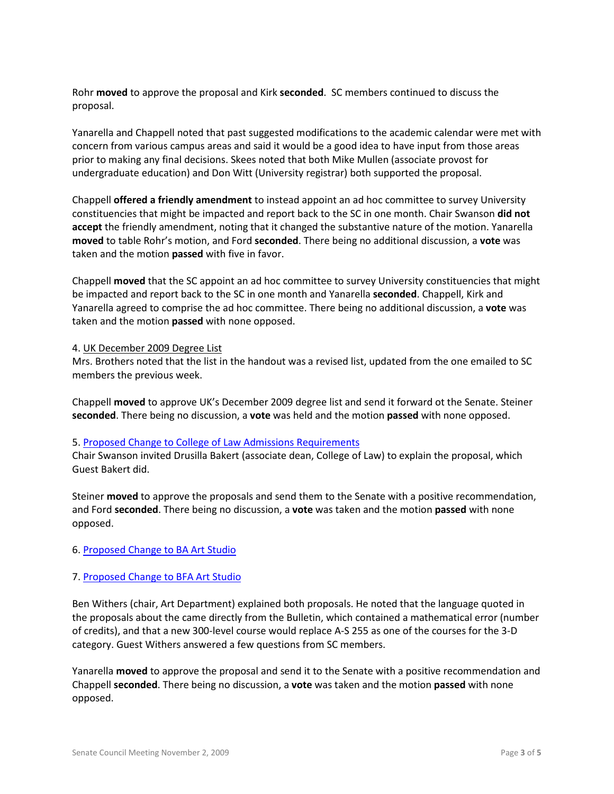Rohr **moved** to approve the proposal and Kirk **seconded**. SC members continued to discuss the proposal.

Yanarella and Chappell noted that past suggested modifications to the academic calendar were met with concern from various campus areas and said it would be a good idea to have input from those areas prior to making any final decisions. Skees noted that both Mike Mullen (associate provost for undergraduate education) and Don Witt (University registrar) both supported the proposal.

Chappell **offered a friendly amendment** to instead appoint an ad hoc committee to survey University constituencies that might be impacted and report back to the SC in one month. Chair Swanson **did not accept** the friendly amendment, noting that it changed the substantive nature of the motion. Yanarella **moved** to table Rohr's motion, and Ford **seconded**. There being no additional discussion, a **vote** was taken and the motion **passed** with five in favor.

Chappell **moved** that the SC appoint an ad hoc committee to survey University constituencies that might be impacted and report back to the SC in one month and Yanarella **seconded**. Chappell, Kirk and Yanarella agreed to comprise the ad hoc committee. There being no additional discussion, a **vote** was taken and the motion **passed** with none opposed.

#### 4. UK December 2009 Degree List

Mrs. Brothers noted that the list in the handout was a revised list, updated from the one emailed to SC members the previous week.

Chappell **moved** to approve UK's December 2009 degree list and send it forward ot the Senate. Steiner **seconded**. There being no discussion, a **vote** was held and the motion **passed** with none opposed.

#### 5. [Proposed Change to College of Law Admissions Requirements](http://www.uky.edu/Faculty/Senate/files/Meetings/20091102/Law%20Admissions%20Requirement%20Change_Complete.pdf)

Chair Swanson invited Drusilla Bakert (associate dean, College of Law) to explain the proposal, which Guest Bakert did.

Steiner **moved** to approve the proposals and send them to the Senate with a positive recommendation, and Ford **seconded**. There being no discussion, a **vote** was taken and the motion **passed** with none opposed.

### 6. [Proposed Change to BA Art Studio](http://www.uky.edu/Faculty/Senate/files/Meetings/20091102/BA%20Art%20Studio%20-%20Program%20Change_Complete1.pdf)

#### 7. [Proposed Change to BFA Art Studio](http://www.uky.edu/Faculty/Senate/files/Meetings/20091102/BFA%20Art%20Studio%20-%20Program%20Change_Complete1.pdf)

Ben Withers (chair, Art Department) explained both proposals. He noted that the language quoted in the proposals about the came directly from the Bulletin, which contained a mathematical error (number of credits), and that a new 300-level course would replace A-S 255 as one of the courses for the 3-D category. Guest Withers answered a few questions from SC members.

Yanarella **moved** to approve the proposal and send it to the Senate with a positive recommendation and Chappell **seconded**. There being no discussion, a **vote** was taken and the motion **passed** with none opposed.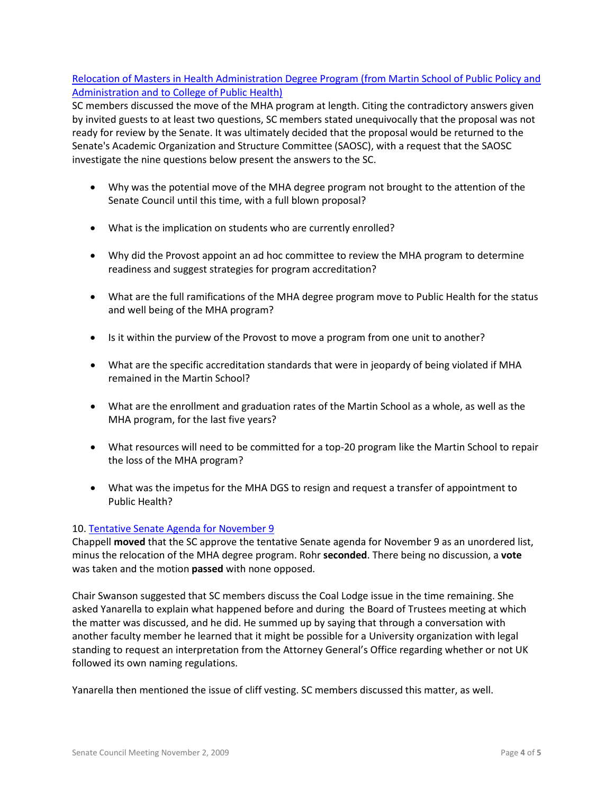# [Relocation of Masters in Health Administration Degree Program \(from Martin School of Public Policy and](http://www.uky.edu/Faculty/Senate/files/Meetings/20091102/MHA%20Relocation_Complete.pdf)  [Administration and to College of Public Health\)](http://www.uky.edu/Faculty/Senate/files/Meetings/20091102/MHA%20Relocation_Complete.pdf)

SC members discussed the move of the MHA program at length. Citing the contradictory answers given by invited guests to at least two questions, SC members stated unequivocally that the proposal was not ready for review by the Senate. It was ultimately decided that the proposal would be returned to the Senate's Academic Organization and Structure Committee (SAOSC), with a request that the SAOSC investigate the nine questions below present the answers to the SC.

- Why was the potential move of the MHA degree program not brought to the attention of the Senate Council until this time, with a full blown proposal?
- What is the implication on students who are currently enrolled?
- Why did the Provost appoint an ad hoc committee to review the MHA program to determine readiness and suggest strategies for program accreditation?
- What are the full ramifications of the MHA degree program move to Public Health for the status and well being of the MHA program?
- Is it within the purview of the Provost to move a program from one unit to another?
- What are the specific accreditation standards that were in jeopardy of being violated if MHA remained in the Martin School?
- What are the enrollment and graduation rates of the Martin School as a whole, as well as the MHA program, for the last five years?
- What resources will need to be committed for a top-20 program like the Martin School to repair the loss of the MHA program?
- What was the impetus for the MHA DGS to resign and request a transfer of appointment to Public Health?

### 10[. Tentative Senate Agenda for November 9](http://www.uky.edu/Faculty/Senate/files/Meetings/20091102/Tentative%20Senate%20Agenda%20for%20November%209.pdf)

Chappell **moved** that the SC approve the tentative Senate agenda for November 9 as an unordered list, minus the relocation of the MHA degree program. Rohr **seconded**. There being no discussion, a **vote** was taken and the motion **passed** with none opposed.

Chair Swanson suggested that SC members discuss the Coal Lodge issue in the time remaining. She asked Yanarella to explain what happened before and during the Board of Trustees meeting at which the matter was discussed, and he did. He summed up by saying that through a conversation with another faculty member he learned that it might be possible for a University organization with legal standing to request an interpretation from the Attorney General's Office regarding whether or not UK followed its own naming regulations.

Yanarella then mentioned the issue of cliff vesting. SC members discussed this matter, as well.